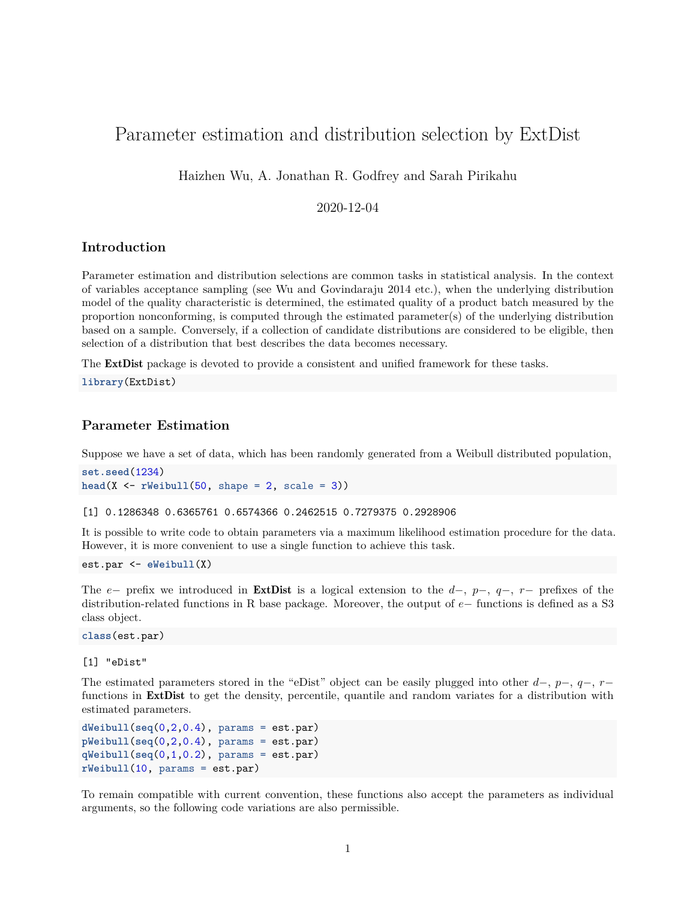# Parameter estimation and distribution selection by ExtDist

Haizhen Wu, A. Jonathan R. Godfrey and Sarah Pirikahu

# 2020-12-04

# **Introduction**

Parameter estimation and distribution selections are common tasks in statistical analysis. In the context of variables acceptance sampling (see Wu and Govindaraju 2014 etc.), when the underlying distribution model of the quality characteristic is determined, the estimated quality of a product batch measured by the proportion nonconforming, is computed through the estimated parameter(s) of the underlying distribution based on a sample. Conversely, if a collection of candidate distributions are considered to be eligible, then selection of a distribution that best describes the data becomes necessary.

The **[ExtDist](http://CRAN.R-project.org/package=ExtDist)** package is devoted to provide a consistent and unified framework for these tasks.

**library**(ExtDist)

### **Parameter Estimation**

Suppose we have a set of data, which has been randomly generated from a Weibull distributed population,

```
set.seed(1234)
head(X \leq rWeibull(50, shape = 2, scale = 3))
```
[1] 0.1286348 0.6365761 0.6574366 0.2462515 0.7279375 0.2928906

It is possible to write code to obtain parameters via a maximum likelihood estimation procedure for the data. However, it is more convenient to use a single function to achieve this task.

est.par <- **eWeibull**(X)

The *e*− prefix we introduced in [ExtDist](http://CRAN.R-project.org/package=ExtDist) is a logical extension to the *d*−, *p*−, *q*−, *r*− prefixes of the distribution-related functions in R base package. Moreover, the output of *e*− functions is defined as a S3 class object.

**class**(est.par)

[1] "eDist"

The estimated parameters stored in the "eDist" object can be easily plugged into other *d*−, *p*−, *q*−, *r*− functions in **[ExtDist](http://CRAN.R-project.org/package=ExtDist)** to get the density, percentile, quantile and random variates for a distribution with estimated parameters.

```
dWeibull(seq(0,2,0.4), params = est.par)
pWeibull(seq(0,2,0.4), params = est.par)
qWeibull(seq(0,1,0.2), params = est.par)
rWeibull(10, params = est.par)
```
To remain compatible with current convention, these functions also accept the parameters as individual arguments, so the following code variations are also permissible.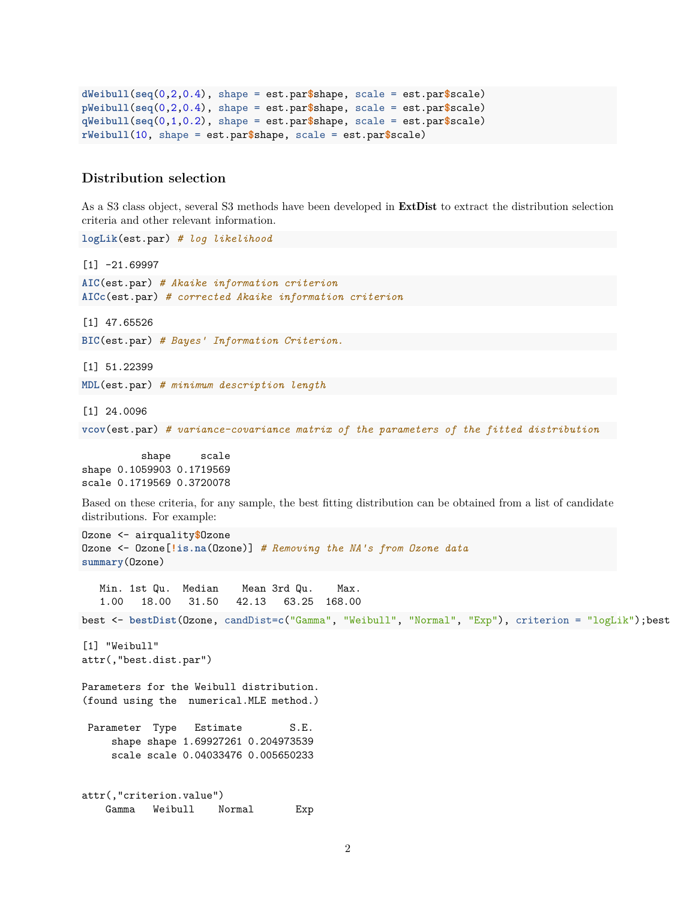```
dWeibull(seq(0,2,0.4), shape = est.par$shape, scale = est.par$scale)
pWeibull(seq(0,2,0.4), shape = est.par$shape, scale = est.par$scale)
qWeibull(seq(0,1,0.2), shape = est.par$shape, scale = est.par$scale)
rWeibull(10, shape = est.par$shape, scale = est.par$scale)
```
# **Distribution selection**

As a S3 class object, several S3 methods have been developed in [ExtDist](http://CRAN.R-project.org/package=ExtDist) to extract the distribution selection criteria and other relevant information.

**logLik**(est.par) *# log likelihood*  $[1] -21.69997$ **AIC**(est.par) *# Akaike information criterion* **AICc**(est.par) *# corrected Akaike information criterion* [1] 47.65526 **BIC**(est.par) *# Bayes' Information Criterion.* [1] 51.22399 **MDL**(est.par) *# minimum description length* [1] 24.0096 **vcov**(est.par) *# variance-covariance matrix of the parameters of the fitted distribution* shape scale shape 0.1059903 0.1719569 scale 0.1719569 0.3720078 Based on these criteria, for any sample, the best fitting distribution can be obtained from a list of candidate distributions. For example: Ozone <- airquality**\$**Ozone Ozone <- Ozone[**!is.na**(Ozone)] *# Removing the NA's from Ozone data* **summary**(Ozone) Min. 1st Qu. Median Mean 3rd Qu. Max. 1.00 18.00 31.50 42.13 63.25 168.00 best <- **bestDist**(Ozone, candDist=**c**("Gamma", "Weibull", "Normal", "Exp"), criterion = "logLik");best [1] "Weibull" attr(,"best.dist.par") Parameters for the Weibull distribution. (found using the numerical.MLE method.) Parameter Type Estimate S.E. shape shape 1.69927261 0.204973539 scale scale 0.04033476 0.005650233 attr(,"criterion.value") Gamma Weibull Normal Exp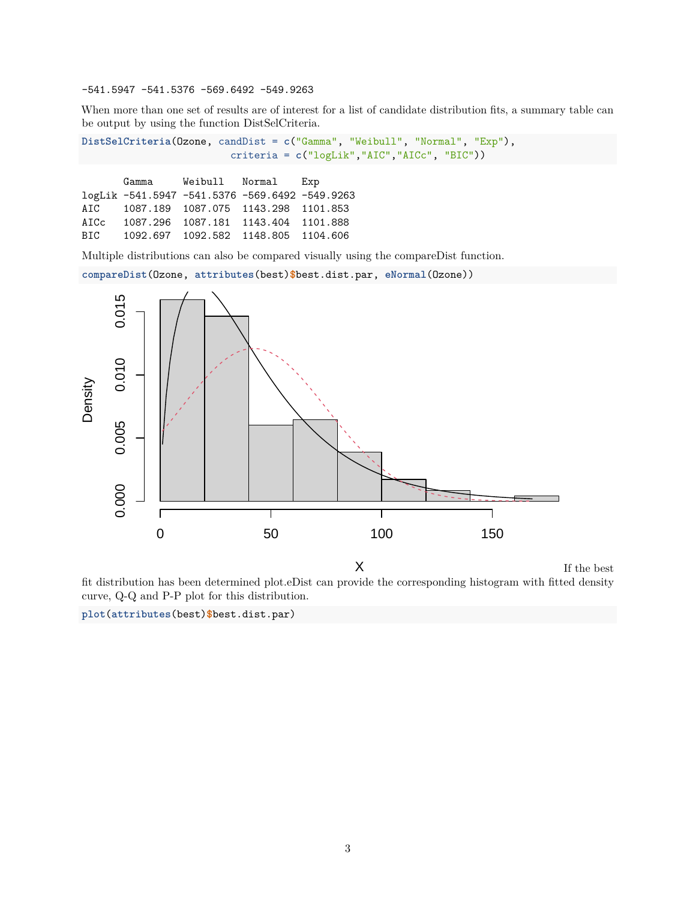-541.5947 -541.5376 -569.6492 -549.9263

When more than one set of results are of interest for a list of candidate distribution fits, a summary table can be output by using the function DistSelCriteria.

**DistSelCriteria**(Ozone, candDist = **c**("Gamma", "Weibull", "Normal", "Exp"), criteria = **c**("logLik","AIC","AICc", "BIC"))

Gamma Weibull Normal Exp logLik -541.5947 -541.5376 -569.6492 -549.9263 AIC 1087.189 1087.075 1143.298 1101.853 AICc 1087.296 1087.181 1143.404 1101.888 BIC 1092.697 1092.582 1148.805 1104.606

Multiple distributions can also be compared visually using the compareDist function.

**compareDist**(Ozone, **attributes**(best)**\$**best.dist.par, **eNormal**(Ozone))



If the best fit distribution has been determined plot.eDist can provide the corresponding histogram with fitted density curve, Q-Q and P-P plot for this distribution.

**plot**(**attributes**(best)**\$**best.dist.par)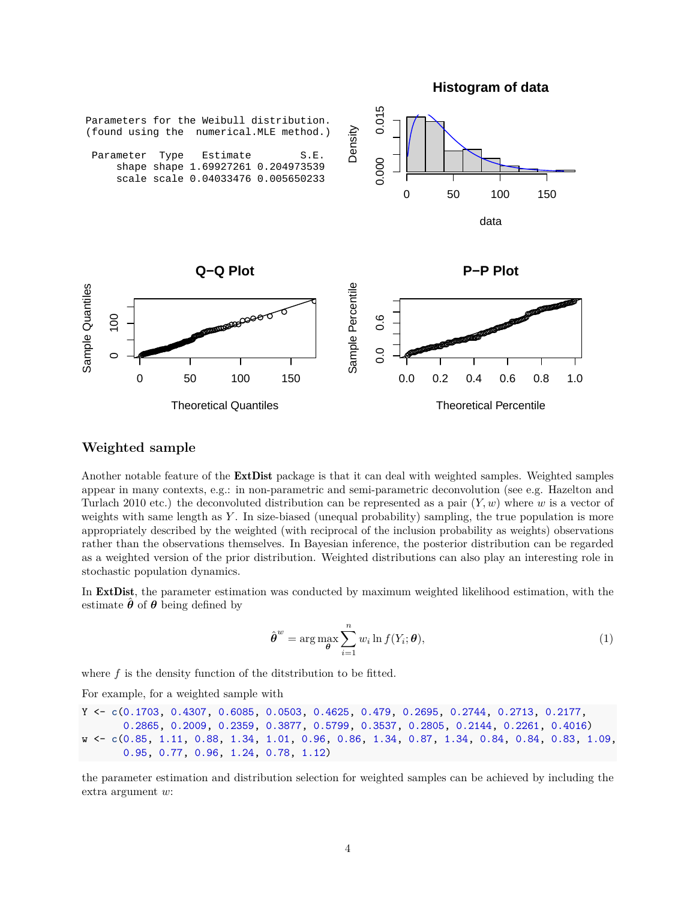**Histogram of data**



#### **Weighted sample**

Another notable feature of the **[ExtDist](http://CRAN.R-project.org/package=ExtDist)** package is that it can deal with weighted samples. Weighted samples appear in many contexts, e.g.: in non-parametric and semi-parametric deconvolution (see e.g. Hazelton and Turlach 2010 etc.) the deconvoluted distribution can be represented as a pair (*Y, w*) where *w* is a vector of weights with same length as *Y* . In size-biased (unequal probability) sampling, the true population is more appropriately described by the weighted (with reciprocal of the inclusion probability as weights) observations rather than the observations themselves. In Bayesian inference, the posterior distribution can be regarded as a weighted version of the prior distribution. Weighted distributions can also play an interesting role in stochastic population dynamics.

In [ExtDist](http://CRAN.R-project.org/package=ExtDist), the parameter estimation was conducted by maximum weighted likelihood estimation, with the estimate  $\hat{\theta}$  of  $\theta$  being defined by

$$
\hat{\boldsymbol{\theta}}^w = \arg \max_{\boldsymbol{\theta}} \sum_{i=1}^n w_i \ln f(Y_i; \boldsymbol{\theta}), \tag{1}
$$

where *f* is the density function of the ditstribution to be fitted.

For example, for a weighted sample with

```
Y <- c(0.1703, 0.4307, 0.6085, 0.0503, 0.4625, 0.479, 0.2695, 0.2744, 0.2713, 0.2177,
       0.2865, 0.2009, 0.2359, 0.3877, 0.5799, 0.3537, 0.2805, 0.2144, 0.2261, 0.4016)
w <- c(0.85, 1.11, 0.88, 1.34, 1.01, 0.96, 0.86, 1.34, 0.87, 1.34, 0.84, 0.84, 0.83, 1.09,
       0.95, 0.77, 0.96, 1.24, 0.78, 1.12)
```
the parameter estimation and distribution selection for weighted samples can be achieved by including the extra argument *w*: